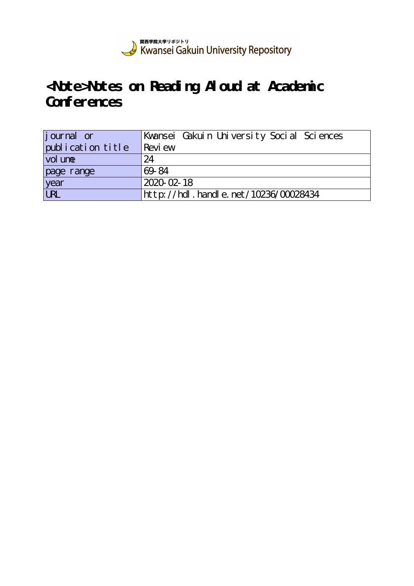

# **<Note>Notes on Reading Aloud at Academic Conferences**

| journal or        | Kwansei Gakuin University Social Sciences |
|-------------------|-------------------------------------------|
| publication title | Revi ew                                   |
| vol une           | 24                                        |
| page range        | 69-84                                     |
| year              | 2020-02-18                                |
| URL               | http://hdl.handle.net/10236/00028434      |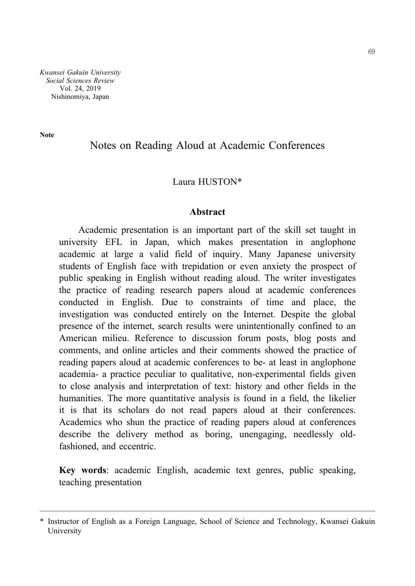*Kwansei Gakuin University Social Sciences Review* Vol. 24, 2019 Nishinomiya, Japan

**Note**

## Notes on Reading Aloud at Academic Conferences

### Laura HUSTON\*

#### **Abstract**

Academic presentation is an important part of the skill set taught in university EFL in Japan, which makes presentation in anglophone academic at large a valid field of inquiry. Many Japanese university students of English face with trepidation or even anxiety the prospect of public speaking in English without reading aloud. The writer investigates the practice of reading research papers aloud at academic conferences conducted in English. Due to constraints of time and place, the investigation was conducted entirely on the Internet. Despite the global presence of the internet, search results were unintentionally confined to an American milieu. Reference to discussion forum posts, blog posts and comments, and online articles and their comments showed the practice of reading papers aloud at academic conferences to be- at least in anglophone academia- a practice peculiar to qualitative, non-experimental fields given to close analysis and interpretation of text: history and other fields in the humanities. The more quantitative analysis is found in a field, the likelier it is that its scholars do not read papers aloud at their conferences. Academics who shun the practice of reading papers aloud at conferences describe the delivery method as boring, unengaging, needlessly oldfashioned, and eccentric.

**Key words**: academic English, academic text genres, public speaking, teaching presentation

<sup>──────────────────────────────────────────</sup> \* Instructor of English as a Foreign Language, School of Science and Technology, Kwansei Gakuin University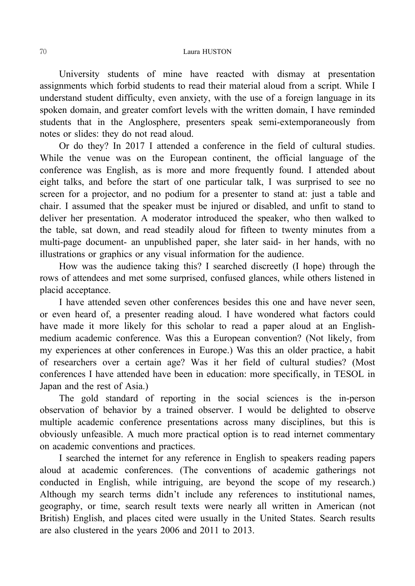University students of mine have reacted with dismay at presentation assignments which forbid students to read their material aloud from a script. While I understand student difficulty, even anxiety, with the use of a foreign language in its spoken domain, and greater comfort levels with the written domain, I have reminded students that in the Anglosphere, presenters speak semi-extemporaneously from notes or slides: they do not read aloud.

Or do they? In 2017 I attended a conference in the field of cultural studies. While the venue was on the European continent, the official language of the conference was English, as is more and more frequently found. I attended about eight talks, and before the start of one particular talk, I was surprised to see no screen for a projector, and no podium for a presenter to stand at: just a table and chair. I assumed that the speaker must be injured or disabled, and unfit to stand to deliver her presentation. A moderator introduced the speaker, who then walked to the table, sat down, and read steadily aloud for fifteen to twenty minutes from a multi-page document- an unpublished paper, she later said- in her hands, with no illustrations or graphics or any visual information for the audience.

How was the audience taking this? I searched discreetly (I hope) through the rows of attendees and met some surprised, confused glances, while others listened in placid acceptance.

I have attended seven other conferences besides this one and have never seen, or even heard of, a presenter reading aloud. I have wondered what factors could have made it more likely for this scholar to read a paper aloud at an Englishmedium academic conference. Was this a European convention? (Not likely, from my experiences at other conferences in Europe.) Was this an older practice, a habit of researchers over a certain age? Was it her field of cultural studies? (Most conferences I have attended have been in education: more specifically, in TESOL in Japan and the rest of Asia.)

The gold standard of reporting in the social sciences is the in-person observation of behavior by a trained observer. I would be delighted to observe multiple academic conference presentations across many disciplines, but this is obviously unfeasible. A much more practical option is to read internet commentary on academic conventions and practices.

I searched the internet for any reference in English to speakers reading papers aloud at academic conferences. (The conventions of academic gatherings not conducted in English, while intriguing, are beyond the scope of my research.) Although my search terms didn't include any references to institutional names, geography, or time, search result texts were nearly all written in American (not British) English, and places cited were usually in the United States. Search results are also clustered in the years 2006 and 2011 to 2013.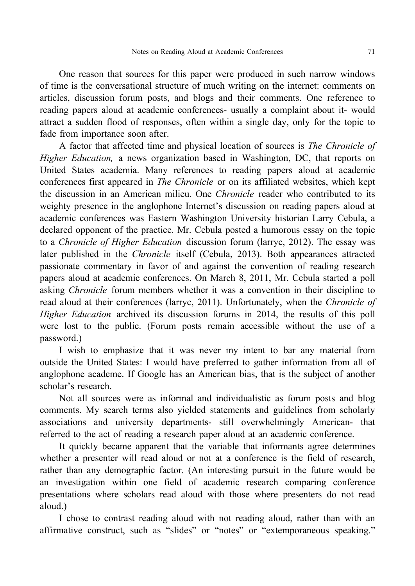One reason that sources for this paper were produced in such narrow windows of time is the conversational structure of much writing on the internet: comments on articles, discussion forum posts, and blogs and their comments. One reference to reading papers aloud at academic conferences- usually a complaint about it- would attract a sudden flood of responses, often within a single day, only for the topic to fade from importance soon after.

A factor that affected time and physical location of sources is *The Chronicle of Higher Education,* a news organization based in Washington, DC, that reports on United States academia. Many references to reading papers aloud at academic conferences first appeared in *The Chronicle* or on its affiliated websites, which kept the discussion in an American milieu. One *Chronicle* reader who contributed to its weighty presence in the anglophone Internet's discussion on reading papers aloud at academic conferences was Eastern Washington University historian Larry Cebula, a declared opponent of the practice. Mr. Cebula posted a humorous essay on the topic to a *Chronicle of Higher Education* discussion forum (larryc, 2012). The essay was later published in the *Chronicle* itself (Cebula, 2013). Both appearances attracted passionate commentary in favor of and against the convention of reading research papers aloud at academic conferences. On March 8, 2011, Mr. Cebula started a poll asking *Chronicle* forum members whether it was a convention in their discipline to read aloud at their conferences (larryc, 2011). Unfortunately, when the *Chronicle of Higher Education* archived its discussion forums in 2014, the results of this poll were lost to the public. (Forum posts remain accessible without the use of a password.)

I wish to emphasize that it was never my intent to bar any material from outside the United States: I would have preferred to gather information from all of anglophone academe. If Google has an American bias, that is the subject of another scholar's research.

Not all sources were as informal and individualistic as forum posts and blog comments. My search terms also yielded statements and guidelines from scholarly associations and university departments- still overwhelmingly American- that referred to the act of reading a research paper aloud at an academic conference.

It quickly became apparent that the variable that informants agree determines whether a presenter will read aloud or not at a conference is the field of research, rather than any demographic factor. (An interesting pursuit in the future would be an investigation within one field of academic research comparing conference presentations where scholars read aloud with those where presenters do not read aloud.)

I chose to contrast reading aloud with not reading aloud, rather than with an affirmative construct, such as "slides" or "notes" or "extemporaneous speaking."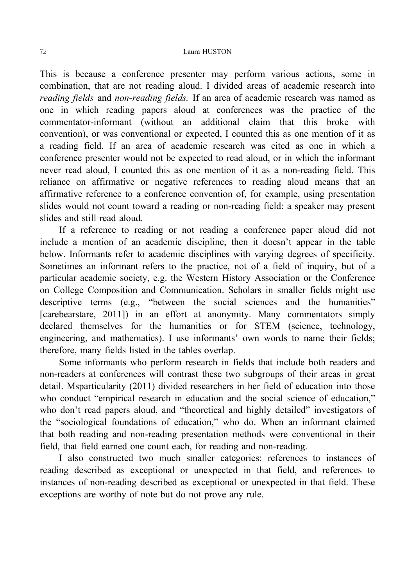#### 72 Laura HUSTON

This is because a conference presenter may perform various actions, some in combination, that are not reading aloud. I divided areas of academic research into *reading fields* and *non-reading fields.* If an area of academic research was named as one in which reading papers aloud at conferences was the practice of the commentator-informant (without an additional claim that this broke with convention), or was conventional or expected, I counted this as one mention of it as a reading field. If an area of academic research was cited as one in which a conference presenter would not be expected to read aloud, or in which the informant never read aloud, I counted this as one mention of it as a non-reading field. This reliance on affirmative or negative references to reading aloud means that an affirmative reference to a conference convention of, for example, using presentation slides would not count toward a reading or non-reading field: a speaker may present slides and still read aloud.

If a reference to reading or not reading a conference paper aloud did not include a mention of an academic discipline, then it doesn't appear in the table below. Informants refer to academic disciplines with varying degrees of specificity. Sometimes an informant refers to the practice, not of a field of inquiry, but of a particular academic society, e.g. the Western History Association or the Conference on College Composition and Communication. Scholars in smaller fields might use descriptive terms (e.g., "between the social sciences and the humanities" [carebearstare, 2011]) in an effort at anonymity. Many commentators simply declared themselves for the humanities or for STEM (science, technology, engineering, and mathematics). I use informants' own words to name their fields; therefore, many fields listed in the tables overlap.

Some informants who perform research in fields that include both readers and non-readers at conferences will contrast these two subgroups of their areas in great detail. Msparticularity (2011) divided researchers in her field of education into those who conduct "empirical research in education and the social science of education," who don't read papers aloud, and "theoretical and highly detailed" investigators of the "sociological foundations of education," who do. When an informant claimed that both reading and non-reading presentation methods were conventional in their field, that field earned one count each, for reading and non-reading.

I also constructed two much smaller categories: references to instances of reading described as exceptional or unexpected in that field, and references to instances of non-reading described as exceptional or unexpected in that field. These exceptions are worthy of note but do not prove any rule.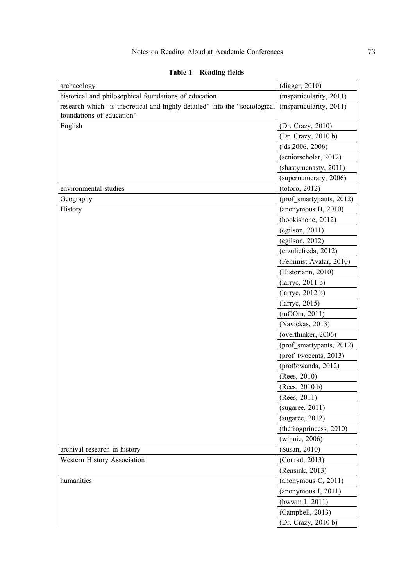| archaeology                                                                                             | (digger, 2010)           |
|---------------------------------------------------------------------------------------------------------|--------------------------|
| historical and philosophical foundations of education                                                   | (msparticularity, 2011)  |
| research which "is theoretical and highly detailed" into the "sociological<br>foundations of education" | (msparticularity, 2011)  |
| English                                                                                                 | (Dr. Crazy, 2010)        |
|                                                                                                         | (Dr. Crazy, 2010 b)      |
|                                                                                                         | (jds 2006, 2006)         |
|                                                                                                         | (seniorscholar, 2012)    |
|                                                                                                         | (shastymenasty, 2011)    |
|                                                                                                         | (supernumerary, 2006)    |
| environmental studies                                                                                   | (totoro, 2012)           |
| Geography                                                                                               | (prof smartypants, 2012) |
| History                                                                                                 | (anonymous $B$ , 2010)   |
|                                                                                                         | (bookishone, 2012)       |
|                                                                                                         | (egilson, 2011)          |
|                                                                                                         | (egilson, 2012)          |
|                                                                                                         | (erzuliefreda, 2012)     |
|                                                                                                         | (Feminist Avatar, 2010)  |
|                                                                                                         | (Historiann, 2010)       |
|                                                                                                         | (larrow, 2011 b)         |
|                                                                                                         | (larryc, 2012 b)         |
|                                                                                                         | (larryc, 2015)           |
|                                                                                                         | (mOOm, 2011)             |
|                                                                                                         | (Navickas, 2013)         |
|                                                                                                         | (overthinker, 2006)      |
|                                                                                                         | (prof smartypants, 2012) |
|                                                                                                         | (prof_twocents, 2013)    |
|                                                                                                         | (proftowanda, 2012)      |
|                                                                                                         | (Rees, 2010)             |
|                                                                                                         | (Rees, 2010 b)           |
|                                                                                                         | (Rees, 2011)             |
|                                                                                                         | (sugaree, 2011)          |
|                                                                                                         | (sugaree, 2012)          |
|                                                                                                         | (thefrogprincess, 2010)  |
|                                                                                                         | (winnie, 2006)           |
| archival research in history                                                                            | (Susan, 2010)            |
| Western History Association                                                                             | (Conrad, 2013)           |
|                                                                                                         | (Rensink, 2013)          |
| humanities                                                                                              | (anonymous C, 2011)      |
|                                                                                                         | (anonymous I, 2011)      |
|                                                                                                         | (bwww n 1, 2011)         |
|                                                                                                         | (Campbell, 2013)         |
|                                                                                                         | (Dr. Crazy, 2010 b)      |

**Table 1 Reading fields**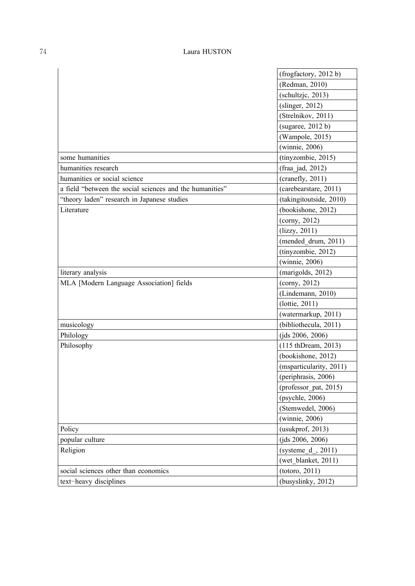|                                                          | (frogfactory, 2012b)    |
|----------------------------------------------------------|-------------------------|
|                                                          | (Redman, 2010)          |
|                                                          | (schultzjc, 2013)       |
|                                                          | (slinger, 2012)         |
|                                                          | (Strelnikov, 2011)      |
|                                                          | (sugaree, 2012 b)       |
|                                                          | (Wampole, 2015)         |
|                                                          | (winnie, 2006)          |
| some humanities                                          | (tinyzombie, 2015)      |
| humanities research                                      | (fraa jad, 2012)        |
| humanities or social science                             | (crandly, 2011)         |
| a field "between the social sciences and the humanities" | (carebearstare, 2011)   |
| "theory laden" research in Japanese studies              | (takingitoutside, 2010) |
| Literature                                               | (bookishone, 2012)      |
|                                                          | (conv, 2012)            |
|                                                          | (lizzy, 2011)           |
|                                                          | (mended drum, 2011)     |
|                                                          | (tinyzombie, 2012)      |
|                                                          | (winnie, 2006)          |
| literary analysis                                        | (marigolds, 2012)       |
| MLA [Modern Language Association] fields                 | (cony, 2012)            |
|                                                          | (Lindemann, 2010)       |
|                                                          | (lottie, 2011)          |
|                                                          | (watermarkup, 2011)     |
| musicology                                               | (bibliothecula, 2011)   |
| Philology                                                | (jds 2006, 2006)        |
| Philosophy                                               | (115 thDream, 2013)     |
|                                                          | (bookishone, 2012)      |
|                                                          | (msparticularity, 2011) |
|                                                          | (periphrasis, 2006)     |
|                                                          | (professor pat, 2015)   |
|                                                          | (psychle, 2006)         |
|                                                          | (Stemwedel, 2006)       |
|                                                          | (winnie, 2006)          |
| Policy                                                   | (usukprof, 2013)        |
| popular culture                                          | (jds 2006, 2006)        |
| Religion                                                 | $(systeme_d, 2011)$     |
|                                                          | (wet blanket, 2011)     |
| social sciences other than economics                     | (totoro, 2011)          |
| text-heavy disciplines                                   | (busyslinky, 2012)      |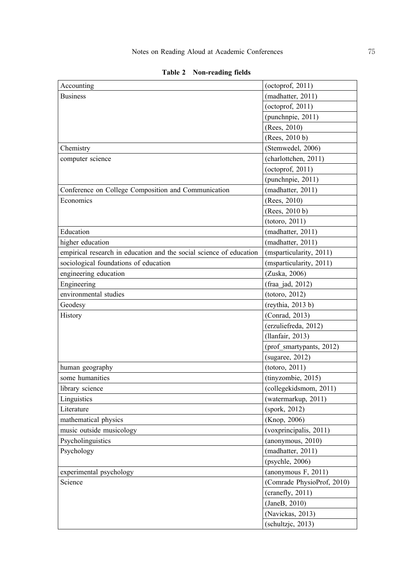| Accounting                                                          | (octoprof, $2011$ )        |
|---------------------------------------------------------------------|----------------------------|
| <b>Business</b>                                                     | (madhatter, 2011)          |
|                                                                     | (octoprof, 2011)           |
|                                                                     | (punchnpie, 2011)          |
|                                                                     | (Rees, 2010)               |
|                                                                     | (Rees, 2010 b)             |
| Chemistry                                                           | (Stemwedel, 2006)          |
| computer science                                                    | (charlottchen, 2011)       |
|                                                                     | (octoprof, 2011)           |
|                                                                     | (punchnpie, 2011)          |
| Conference on College Composition and Communication                 | (madhatter, 2011)          |
| Economics                                                           | (Rees, 2010)               |
|                                                                     | (Rees, 2010 b)             |
|                                                                     | (totoro, 2011)             |
| Education                                                           | (madhatter, 2011)          |
| higher education                                                    | (madhatter, 2011)          |
| empirical research in education and the social science of education | (msparticularity, 2011)    |
| sociological foundations of education                               | (msparticularity, 2011)    |
| engineering education                                               | (Zuska, 2006)              |
| Engineering                                                         | (fraa jad, 2012)           |
| environmental studies                                               | (totoro, 2012)             |
| Geodesy                                                             | (revthia, 2013 b)          |
| History                                                             | (Conrad, 2013)             |
|                                                                     | (erzuliefreda, 2012)       |
|                                                                     | (llanfair, 2013)           |
|                                                                     | (prof_smartypants, 2012)   |
|                                                                     | (sugaree, 2012)            |
| human geography                                                     | (totoro, 2011)             |
| some humanities                                                     | (tinyzombie, 2015)         |
| library science                                                     | (collegekidsmom, 2011)     |
| Linguistics                                                         | (watermarkup, 2011)        |
| Literature                                                          | (spork, 2012)              |
| mathematical physics                                                | (Knop, 2006)               |
| music outside musicology                                            | (voxprincipalis, 2011)     |
| Psycholinguistics                                                   | (anonymous, 2010)          |
| Psychology                                                          | (madhatter, 2011)          |
|                                                                     | (psychle, 2006)            |
| experimental psychology                                             | (anonymous $F$ , 2011)     |
| Science                                                             | (Comrade PhysioProf, 2010) |
|                                                                     | (crandly, 2011)            |
|                                                                     | (JaneB, 2010)              |
|                                                                     | (Navickas, 2013)           |
|                                                                     | (schultzjc, 2013)          |

## **Table 2 Non-reading fields**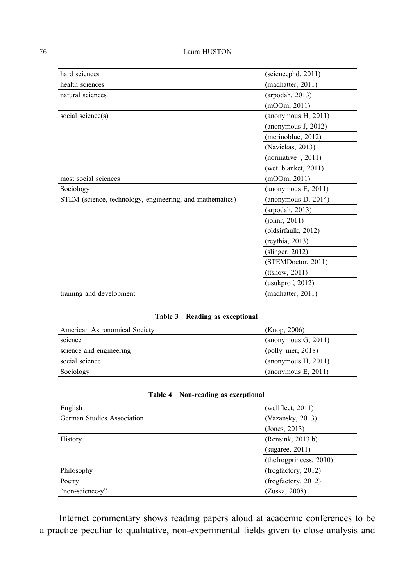| hard sciences                                            | (scincepted, 2011)     |
|----------------------------------------------------------|------------------------|
| health sciences                                          | (madhatter, 2011)      |
| natural sciences                                         | (arpodah, 2013)        |
|                                                          | (mOOm, 2011)           |
| social science(s)                                        | (anonymous $H$ , 2011) |
|                                                          | (anonymous J, 2012)    |
|                                                          | (merinoblue, 2012)     |
|                                                          | (Navickas, 2013)       |
|                                                          | (normative, $2011$ )   |
|                                                          | (wet blanket, 2011)    |
| most social sciences                                     | (mOOm, 2011)           |
| Sociology                                                | (anonymous $E$ , 2011) |
| STEM (science, technology, engineering, and mathematics) | (anonymous D, 2014)    |
|                                                          | (arpodah, 2013)        |
|                                                          | (johnr, 2011)          |
|                                                          | (oldsirfaulk, 2012)    |
|                                                          | (reythia, 2013)        |
|                                                          | (slinger, 2012)        |
|                                                          | (STEMDoctor, 2011)     |
|                                                          | (ttsnow, 2011)         |
|                                                          | (usukprof, 2012)       |
| training and development                                 | (madhatter, 2011)      |

## **Table 3 Reading as exceptional**

| American Astronomical Society | (Knop, 2006)           |
|-------------------------------|------------------------|
| science                       | (anonymous $G$ , 2011) |
| science and engineering       | $(polly$ mer, 2018)    |
| social science                | (anonymous H, 2011)    |
| Sociology                     | (anonymous $E$ , 2011) |

| Table 4 | Non-reading as exceptional |  |  |
|---------|----------------------------|--|--|
|---------|----------------------------|--|--|

| English                    | (wellfleet, 2011)        |
|----------------------------|--------------------------|
| German Studies Association | (Vazansky, 2013)         |
|                            | (Jones, 2013)            |
| History                    | (Rensink, 2013 b)        |
|                            | (sugaree, 2011)          |
|                            | (the frogprincess, 2010) |
| Philosophy                 | (frogfactory, 2012)      |
| Poetry                     | (frogfactory, 2012)      |
| "non-science-y"            | (Zuska, 2008)            |

Internet commentary shows reading papers aloud at academic conferences to be a practice peculiar to qualitative, non-experimental fields given to close analysis and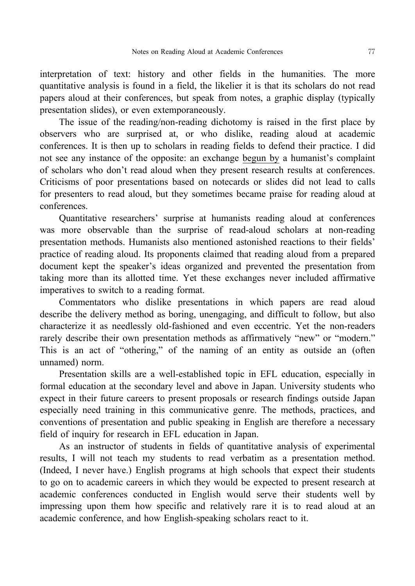interpretation of text: history and other fields in the humanities. The more quantitative analysis is found in a field, the likelier it is that its scholars do not read papers aloud at their conferences, but speak from notes, a graphic display (typically presentation slides), or even extemporaneously.

The issue of the reading/non-reading dichotomy is raised in the first place by observers who are surprised at, or who dislike, reading aloud at academic conferences. It is then up to scholars in reading fields to defend their practice. I did not see any instance of the opposite: an exchange begun by a humanist's complaint of scholars who don't read aloud when they present research results at conferences. Criticisms of poor presentations based on notecards or slides did not lead to calls for presenters to read aloud, but they sometimes became praise for reading aloud at conferences.

Quantitative researchers' surprise at humanists reading aloud at conferences was more observable than the surprise of read-aloud scholars at non-reading presentation methods. Humanists also mentioned astonished reactions to their fields' practice of reading aloud. Its proponents claimed that reading aloud from a prepared document kept the speaker's ideas organized and prevented the presentation from taking more than its allotted time. Yet these exchanges never included affirmative imperatives to switch to a reading format.

Commentators who dislike presentations in which papers are read aloud describe the delivery method as boring, unengaging, and difficult to follow, but also characterize it as needlessly old-fashioned and even eccentric. Yet the non-readers rarely describe their own presentation methods as affirmatively "new" or "modern." This is an act of "othering," of the naming of an entity as outside an (often unnamed) norm.

Presentation skills are a well-established topic in EFL education, especially in formal education at the secondary level and above in Japan. University students who expect in their future careers to present proposals or research findings outside Japan especially need training in this communicative genre. The methods, practices, and conventions of presentation and public speaking in English are therefore a necessary field of inquiry for research in EFL education in Japan.

As an instructor of students in fields of quantitative analysis of experimental results, I will not teach my students to read verbatim as a presentation method. (Indeed, I never have.) English programs at high schools that expect their students to go on to academic careers in which they would be expected to present research at academic conferences conducted in English would serve their students well by impressing upon them how specific and relatively rare it is to read aloud at an academic conference, and how English-speaking scholars react to it.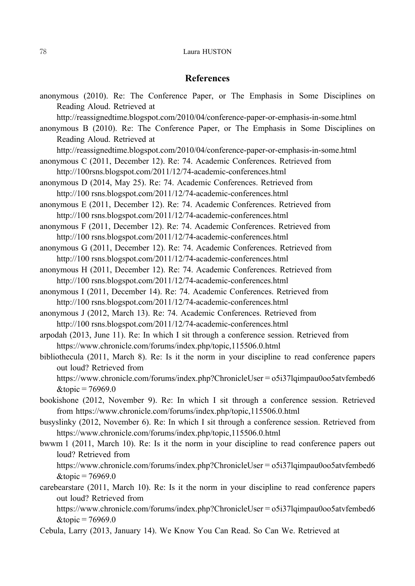#### 78 Laura HUSTON

### **References**

anonymous (2010). Re: The Conference Paper, or The Emphasis in Some Disciplines on Reading Aloud. Retrieved at http://reassignedtime.blogspot.com/2010/04/conference-paper-or-emphasis-in-some.html anonymous B (2010). Re: The Conference Paper, or The Emphasis in Some Disciplines on Reading Aloud. Retrieved at http://reassignedtime.blogspot.com/2010/04/conference-paper-or-emphasis-in-some.html anonymous C (2011, December 12). Re: 74. Academic Conferences. Retrieved from http://100rsns.blogspot.com/2011/12/74-academic-conferences.html anonymous D (2014, May 25). Re: 74. Academic Conferences. Retrieved from http://100 rsns.blogspot.com/2011/12/74-academic-conferences.html anonymous E (2011, December 12). Re: 74. Academic Conferences. Retrieved from http://100 rsns.blogspot.com/2011/12/74-academic-conferences.html anonymous F (2011, December 12). Re: 74. Academic Conferences. Retrieved from http://100 rsns.blogspot.com/2011/12/74-academic-conferences.html anonymous G (2011, December 12). Re: 74. Academic Conferences. Retrieved from http://100 rsns.blogspot.com/2011/12/74-academic-conferences.html anonymous H (2011, December 12). Re: 74. Academic Conferences. Retrieved from http://100 rsns.blogspot.com/2011/12/74-academic-conferences.html anonymous I (2011, December 14). Re: 74. Academic Conferences. Retrieved from http://100 rsns.blogspot.com/2011/12/74-academic-conferences.html anonymous J (2012, March 13). Re: 74. Academic Conferences. Retrieved from http://100 rsns.blogspot.com/2011/12/74-academic-conferences.html arpodah (2013, June 11). Re: In which I sit through a conference session. Retrieved from https://www.chronicle.com/forums/index.php/topic,115506.0.html bibliothecula (2011, March 8). Re: Is it the norm in your discipline to read conference papers out loud? Retrieved from https://www.chronicle.com/forums/index.php?ChronicleUser=o5i37lqimpau0oo5atvfembed6  $&$ topic = 76969.0 bookishone (2012, November 9). Re: In which I sit through a conference session. Retrieved from https://www.chronicle.com/forums/index.php/topic,115506.0.html busyslinky (2012, November 6). Re: In which I sit through a conference session. Retrieved from https://www.chronicle.com/forums/index.php/topic,115506.0.html bwwm 1 (2011, March 10). Re: Is it the norm in your discipline to read conference papers out loud? Retrieved from https://www.chronicle.com/forums/index.php?ChronicleUser = o5i37lqimpau0oo5atvfembed6  $&$ topic = 76969.0 carebearstare (2011, March 10). Re: Is it the norm in your discipline to read conference papers out loud? Retrieved from https://www.chronicle.com/forums/index.php?ChronicleUser=o5i37lqimpau0oo5atvfembed6  $&topic = 76969.0$ 

Cebula, Larry (2013, January 14). We Know You Can Read. So Can We. Retrieved at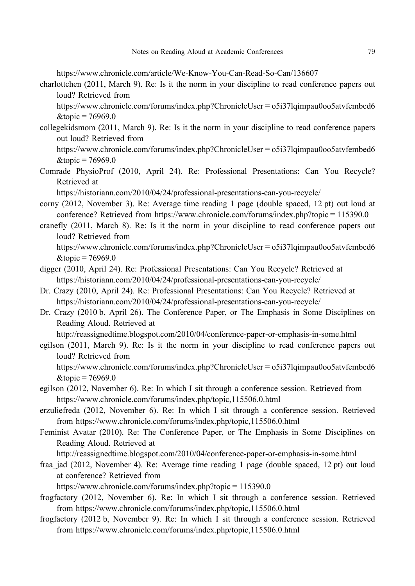https://www.chronicle.com/article/We-Know-You-Can-Read-So-Can/136607

charlottchen (2011, March 9). Re: Is it the norm in your discipline to read conference papers out loud? Retrieved from

https://www.chronicle.com/forums/index.php?ChronicleUser=o5i37lqimpau0oo5atvfembed6  $&topic = 76969.0$ 

collegekidsmom (2011, March 9). Re: Is it the norm in your discipline to read conference papers out loud? Retrieved from

https://www.chronicle.com/forums/index.php?ChronicleUser=o5i37lqimpau0oo5atvfembed6  $&topic = 76969.0$ 

Comrade PhysioProf (2010, April 24). Re: Professional Presentations: Can You Recycle? Retrieved at

https://historiann.com/2010/04/24/professional-presentations-can-you-recycle/

- corny (2012, November 3). Re: Average time reading 1 page (double spaced, 12 pt) out loud at conference? Retrieved from https://www.chronicle.com/forums/index.php?topic=115390.0
- cranefly (2011, March 8). Re: Is it the norm in your discipline to read conference papers out loud? Retrieved from

https://www.chronicle.com/forums/index.php?ChronicleUser=o5i37lqimpau0oo5atvfembed6  $&$ topic = 76969.0

- digger (2010, April 24). Re: Professional Presentations: Can You Recycle? Retrieved at https://historiann.com/2010/04/24/professional-presentations-can-you-recycle/
- Dr. Crazy (2010, April 24). Re: Professional Presentations: Can You Recycle? Retrieved at https://historiann.com/2010/04/24/professional-presentations-can-you-recycle/
- Dr. Crazy (2010 b, April 26). The Conference Paper, or The Emphasis in Some Disciplines on Reading Aloud. Retrieved at

http://reassignedtime.blogspot.com/2010/04/conference-paper-or-emphasis-in-some.html

egilson (2011, March 9). Re: Is it the norm in your discipline to read conference papers out loud? Retrieved from

https://www.chronicle.com/forums/index.php?ChronicleUser=o5i37lqimpau0oo5atvfembed6  $&topic = 76969.0$ 

- egilson (2012, November 6). Re: In which I sit through a conference session. Retrieved from https://www.chronicle.com/forums/index.php/topic,115506.0.html
- erzuliefreda (2012, November 6). Re: In which I sit through a conference session. Retrieved from https://www.chronicle.com/forums/index.php/topic,115506.0.html
- Feminist Avatar (2010). Re: The Conference Paper, or The Emphasis in Some Disciplines on Reading Aloud. Retrieved at

http://reassignedtime.blogspot.com/2010/04/conference-paper-or-emphasis-in-some.html

fraa\_jad (2012, November 4). Re: Average time reading 1 page (double spaced, 12 pt) out loud at conference? Retrieved from

https://www.chronicle.com/forums/index.php?topic=115390.0

- frogfactory (2012, November 6). Re: In which I sit through a conference session. Retrieved from https://www.chronicle.com/forums/index.php/topic,115506.0.html
- frogfactory (2012 b, November 9). Re: In which I sit through a conference session. Retrieved from https://www.chronicle.com/forums/index.php/topic,115506.0.html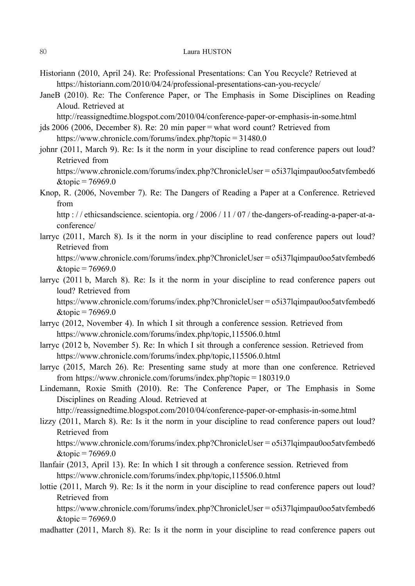- Historiann (2010, April 24). Re: Professional Presentations: Can You Recycle? Retrieved at https://historiann.com/2010/04/24/professional-presentations-can-you-recycle/
- JaneB (2010). Re: The Conference Paper, or The Emphasis in Some Disciplines on Reading Aloud. Retrieved at
	- http://reassignedtime.blogspot.com/2010/04/conference-paper-or-emphasis-in-some.html
- jds 2006 (2006, December 8). Re: 20 min paper=what word count? Retrieved from https://www.chronicle.com/forums/index.php?topic=31480.0
- johnr (2011, March 9). Re: Is it the norm in your discipline to read conference papers out loud? Retrieved from

https://www.chronicle.com/forums/index.php?ChronicleUser=o5i37lqimpau0oo5atvfembed6  $\&$ topic=76969.0

Knop, R. (2006, November 7). Re: The Dangers of Reading a Paper at a Conference. Retrieved from

http : // ethicsandscience. scientopia. org / 2006 / 11 / 07 / the-dangers-of-reading-a-paper-at-aconference/

larryc (2011, March 8). Is it the norm in your discipline to read conference papers out loud? Retrieved from

https://www.chronicle.com/forums/index.php?ChronicleUser=o5i37lqimpau0oo5atvfembed6  $&topic = 76969.0$ 

larryc (2011 b, March 8). Re: Is it the norm in your discipline to read conference papers out loud? Retrieved from

https://www.chronicle.com/forums/index.php?ChronicleUser=o5i37lqimpau0oo5atvfembed6  $&$ topic = 76969.0

- larryc (2012, November 4). In which I sit through a conference session. Retrieved from https://www.chronicle.com/forums/index.php/topic,115506.0.html
- larryc (2012 b, November 5). Re: In which I sit through a conference session. Retrieved from https://www.chronicle.com/forums/index.php/topic,115506.0.html
- larryc (2015, March 26). Re: Presenting same study at more than one conference. Retrieved from https://www.chronicle.com/forums/index.php?topic=180319.0
- Lindemann, Roxie Smith (2010). Re: The Conference Paper, or The Emphasis in Some Disciplines on Reading Aloud. Retrieved at

http://reassignedtime.blogspot.com/2010/04/conference-paper-or-emphasis-in-some.html

lizzy (2011, March 8). Re: Is it the norm in your discipline to read conference papers out loud? Retrieved from

https://www.chronicle.com/forums/index.php?ChronicleUser=o5i37lqimpau0oo5atvfembed6  $&$ topic = 76969.0

- llanfair (2013, April 13). Re: In which I sit through a conference session. Retrieved from https://www.chronicle.com/forums/index.php/topic,115506.0.html
- lottie (2011, March 9). Re: Is it the norm in your discipline to read conference papers out loud? Retrieved from

https://www.chronicle.com/forums/index.php?ChronicleUser=o5i37lqimpau0oo5atvfembed6  $&topic = 76969.0$ 

madhatter (2011, March 8). Re: Is it the norm in your discipline to read conference papers out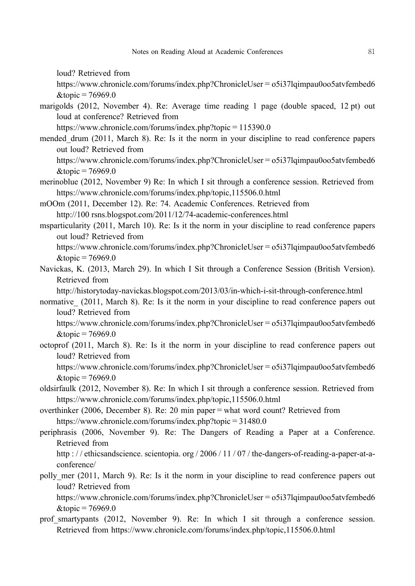loud? Retrieved from

https://www.chronicle.com/forums/index.php?ChronicleUser=o5i37lqimpau0oo5atvfembed6  $&$ topic = 76969.0

marigolds (2012, November 4). Re: Average time reading 1 page (double spaced, 12 pt) out loud at conference? Retrieved from

https://www.chronicle.com/forums/index.php?topic=115390.0

- mended drum (2011, March 8). Re: Is it the norm in your discipline to read conference papers out loud? Retrieved from
	- https://www.chronicle.com/forums/index.php?ChronicleUser=o5i37lqimpau0oo5atvfembed6  $&$ topic = 76969.0
- merinoblue (2012, November 9) Re: In which I sit through a conference session. Retrieved from https://www.chronicle.com/forums/index.php/topic,115506.0.html
- mOOm (2011, December 12). Re: 74. Academic Conferences. Retrieved from http://100 rsns.blogspot.com/2011/12/74-academic-conferences.html
- msparticularity (2011, March 10). Re: Is it the norm in your discipline to read conference papers out loud? Retrieved from
	- https://www.chronicle.com/forums/index.php?ChronicleUser=o5i37lqimpau0oo5atvfembed6  $&$ topic = 76969.0
- Navickas, K. (2013, March 29). In which I Sit through a Conference Session (British Version). Retrieved from

http://historytoday-navickas.blogspot.com/2013/03/in-which-i-sit-through-conference.html

normative (2011, March 8). Re: Is it the norm in your discipline to read conference papers out loud? Retrieved from

https://www.chronicle.com/forums/index.php?ChronicleUser=o5i37lqimpau0oo5atvfembed6  $&$ topic = 76969.0

- octoprof (2011, March 8). Re: Is it the norm in your discipline to read conference papers out loud? Retrieved from
	- https://www.chronicle.com/forums/index.php?ChronicleUser=o5i37lqimpau0oo5atvfembed6  $&topic = 76969.0$
- oldsirfaulk (2012, November 8). Re: In which I sit through a conference session. Retrieved from https://www.chronicle.com/forums/index.php/topic,115506.0.html
- overthinker (2006, December 8). Re: 20 min paper=what word count? Retrieved from https://www.chronicle.com/forums/index.php?topic=31480.0
- periphrasis (2006, November 9). Re: The Dangers of Reading a Paper at a Conference. Retrieved from

http : / / ethicsandscience. scientopia. org / 2006 / 11 / 07 / the-dangers-of-reading-a-paper-at-aconference/

polly mer (2011, March 9). Re: Is it the norm in your discipline to read conference papers out loud? Retrieved from

https://www.chronicle.com/forums/index.php?ChronicleUser=o5i37lqimpau0oo5atvfembed6  $&$ topic = 76969.0

prof smartypants (2012, November 9). Re: In which I sit through a conference session. Retrieved from https://www.chronicle.com/forums/index.php/topic,115506.0.html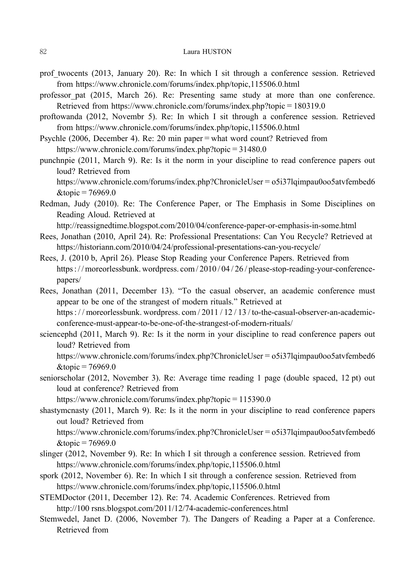- prof twocents (2013, January 20). Re: In which I sit through a conference session. Retrieved from https://www.chronicle.com/forums/index.php/topic,115506.0.html
- professor\_pat (2015, March 26). Re: Presenting same study at more than one conference. Retrieved from https://www.chronicle.com/forums/index.php?topic=180319.0
- proftowanda (2012, Novembr 5). Re: In which I sit through a conference session. Retrieved from https://www.chronicle.com/forums/index.php/topic,115506.0.html
- Psychle (2006, December 4). Re: 20 min paper=what word count? Retrieved from https://www.chronicle.com/forums/index.php?topic=31480.0
- punchnpie (2011, March 9). Re: Is it the norm in your discipline to read conference papers out loud? Retrieved from

https://www.chronicle.com/forums/index.php?ChronicleUser=o5i37lqimpau0oo5atvfembed6  $&$ topic = 76969.0

Redman, Judy (2010). Re: The Conference Paper, or The Emphasis in Some Disciplines on Reading Aloud. Retrieved at

http://reassignedtime.blogspot.com/2010/04/conference-paper-or-emphasis-in-some.html

- Rees, Jonathan (2010, April 24). Re: Professional Presentations: Can You Recycle? Retrieved at https://historiann.com/2010/04/24/professional-presentations-can-you-recycle/
- Rees, J. (2010 b, April 26). Please Stop Reading your Conference Papers. Retrieved from https : / / moreorlessbunk. wordpress. com / 2010 / 04 / 26 / please-stop-reading-your-conferencepapers/
- Rees, Jonathan (2011, December 13). "To the casual observer, an academic conference must appear to be one of the strangest of modern rituals." Retrieved at https : // moreorlessbunk. wordpress. com / 2011 / 12 / 13 / to-the-casual-observer-an-academicconference-must-appear-to-be-one-of-the-strangest-of-modern-rituals/
- sciencephd (2011, March 9). Re: Is it the norm in your discipline to read conference papers out loud? Retrieved from https://www.chronicle.com/forums/index.php?ChronicleUser=o5i37lqimpau0oo5atvfembed6
	- $&$ topic = 76969.0
- seniorscholar (2012, November 3). Re: Average time reading 1 page (double spaced, 12 pt) out loud at conference? Retrieved from

https://www.chronicle.com/forums/index.php?topic=115390.0

shastymcnasty (2011, March 9). Re: Is it the norm in your discipline to read conference papers out loud? Retrieved from https://www.chronicle.com/forums/index.php?ChronicleUser=o5i37lqimpau0oo5atvfembed6

 $&$ topic = 76969.0

- slinger (2012, November 9). Re: In which I sit through a conference session. Retrieved from https://www.chronicle.com/forums/index.php/topic,115506.0.html
- spork (2012, November 6). Re: In which I sit through a conference session. Retrieved from https://www.chronicle.com/forums/index.php/topic,115506.0.html
- STEMDoctor (2011, December 12). Re: 74. Academic Conferences. Retrieved from http://100 rsns.blogspot.com/2011/12/74-academic-conferences.html
- Stemwedel, Janet D. (2006, November 7). The Dangers of Reading a Paper at a Conference. Retrieved from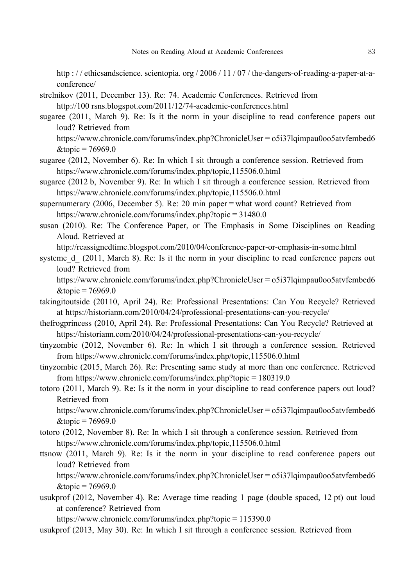http : // ethicsandscience. scientopia. org / 2006 / 11 / 07 / the-dangers-of-reading-a-paper-at-aconference/

- strelnikov (2011, December 13). Re: 74. Academic Conferences. Retrieved from http://100 rsns.blogspot.com/2011/12/74-academic-conferences.html
- sugaree (2011, March 9). Re: Is it the norm in your discipline to read conference papers out loud? Retrieved from
	- https://www.chronicle.com/forums/index.php?ChronicleUser=o5i37lqimpau0oo5atvfembed6  $&$ topic = 76969.0
- sugaree (2012, November 6). Re: In which I sit through a conference session. Retrieved from https://www.chronicle.com/forums/index.php/topic,115506.0.html
- sugaree (2012 b, November 9). Re: In which I sit through a conference session. Retrieved from https://www.chronicle.com/forums/index.php/topic,115506.0.html
- supernumerary (2006, December 5). Re: 20 min paper=what word count? Retrieved from https://www.chronicle.com/forums/index.php?topic=31480.0
- susan (2010). Re: The Conference Paper, or The Emphasis in Some Disciplines on Reading Aloud. Retrieved at

http://reassignedtime.blogspot.com/2010/04/conference-paper-or-emphasis-in-some.html

systeme d (2011, March 8). Re: Is it the norm in your discipline to read conference papers out loud? Retrieved from

https://www.chronicle.com/forums/index.php?ChronicleUser=o5i37lqimpau0oo5atvfembed6  $&$ topic = 76969.0

- takingitoutside (20110, April 24). Re: Professional Presentations: Can You Recycle? Retrieved at https://historiann.com/2010/04/24/professional-presentations-can-you-recycle/
- thefrogprincess (2010, April 24). Re: Professional Presentations: Can You Recycle? Retrieved at https://historiann.com/2010/04/24/professional-presentations-can-you-recycle/
- tinyzombie (2012, November 6). Re: In which I sit through a conference session. Retrieved from https://www.chronicle.com/forums/index.php/topic,115506.0.html
- tinyzombie (2015, March 26). Re: Presenting same study at more than one conference. Retrieved from https://www.chronicle.com/forums/index.php?topic=180319.0
- totoro (2011, March 9). Re: Is it the norm in your discipline to read conference papers out loud? Retrieved from

https://www.chronicle.com/forums/index.php?ChronicleUser=o5i37lqimpau0oo5atvfembed6  $&$ topic = 76969.0

- totoro (2012, November 8). Re: In which I sit through a conference session. Retrieved from https://www.chronicle.com/forums/index.php/topic,115506.0.html
- ttsnow (2011, March 9). Re: Is it the norm in your discipline to read conference papers out loud? Retrieved from

https://www.chronicle.com/forums/index.php?ChronicleUser=o5i37lqimpau0oo5atvfembed6  $&topic = 76969.0$ 

usukprof (2012, November 4). Re: Average time reading 1 page (double spaced, 12 pt) out loud at conference? Retrieved from

https://www.chronicle.com/forums/index.php?topic=115390.0

usukprof (2013, May 30). Re: In which I sit through a conference session. Retrieved from